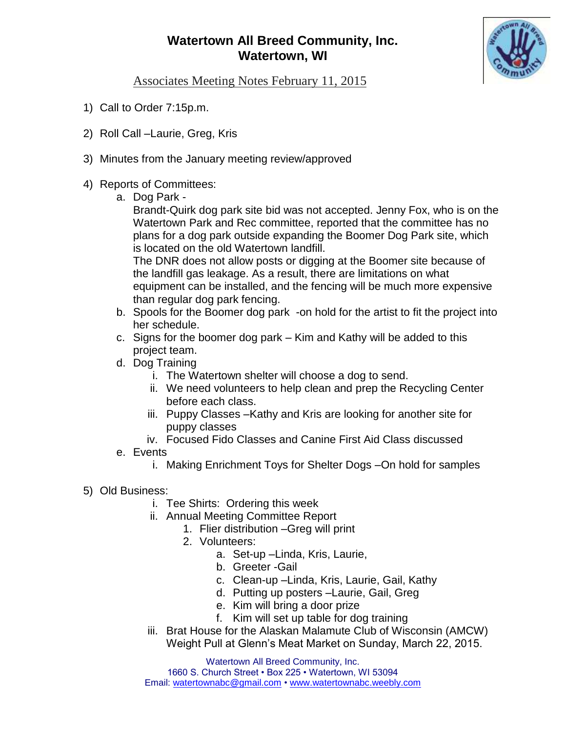## **Watertown All Breed Community, Inc. Watertown, WI**



Associates Meeting Notes February 11, 2015

- 1) Call to Order 7:15p.m.
- 2) Roll Call –Laurie, Greg, Kris
- 3) Minutes from the January meeting review/approved

## 4) Reports of Committees:

a. Dog Park -

Brandt-Quirk dog park site bid was not accepted. Jenny Fox, who is on the Watertown Park and Rec committee, reported that the committee has no plans for a dog park outside expanding the Boomer Dog Park site, which is located on the old Watertown landfill.

The DNR does not allow posts or digging at the Boomer site because of the landfill gas leakage. As a result, there are limitations on what equipment can be installed, and the fencing will be much more expensive than regular dog park fencing.

- b. Spools for the Boomer dog park -on hold for the artist to fit the project into her schedule.
- c. Signs for the boomer dog park Kim and Kathy will be added to this project team.
- d. Dog Training
	- i. The Watertown shelter will choose a dog to send.
	- ii. We need volunteers to help clean and prep the Recycling Center before each class.
	- iii. Puppy Classes –Kathy and Kris are looking for another site for puppy classes
	- iv. Focused Fido Classes and Canine First Aid Class discussed
- e. Events
	- i. Making Enrichment Toys for Shelter Dogs –On hold for samples
- 5) Old Business:
	- i. Tee Shirts: Ordering this week
	- ii. Annual Meeting Committee Report
		- 1. Flier distribution –Greg will print
			- 2. Volunteers:
				- a. Set-up –Linda, Kris, Laurie,
				- b. Greeter -Gail
				- c. Clean-up –Linda, Kris, Laurie, Gail, Kathy
				- d. Putting up posters –Laurie, Gail, Greg
				- e. Kim will bring a door prize
				- f. Kim will set up table for dog training
	- iii. Brat House for the Alaskan Malamute Club of Wisconsin (AMCW) Weight Pull at Glenn's Meat Market on Sunday, March 22, 2015.

Watertown All Breed Community, Inc. 1660 S. Church Street • Box 225 • Watertown, WI 53094 Email: [watertownabc@gmail.com](mailto:watertownabc@gmail.com) • [www.watertownabc.weebly.com](http://www.watertownabc.weebly.com/)